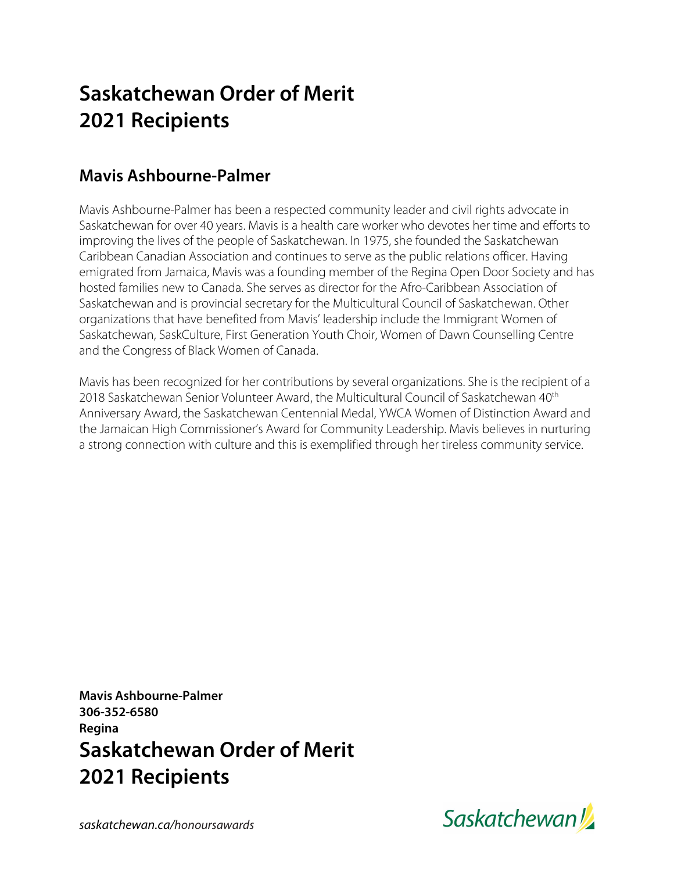# **Saskatchewan Order of Merit 2021 Recipients**

### **Mavis Ashbourne-Palmer**

Mavis Ashbourne-Palmer has been a respected community leader and civil rights advocate in Saskatchewan for over 40 years. Mavis is a health care worker who devotes her time and efforts to improving the lives of the people of Saskatchewan. In 1975, she founded the Saskatchewan Caribbean Canadian Association and continues to serve as the public relations officer. Having emigrated from Jamaica, Mavis was a founding member of the Regina Open Door Society and has hosted families new to Canada. She serves as director for the Afro-Caribbean Association of Saskatchewan and is provincial secretary for the Multicultural Council of Saskatchewan. Other organizations that have benefited from Mavis' leadership include the Immigrant Women of Saskatchewan, SaskCulture, First Generation Youth Choir, Women of Dawn Counselling Centre and the Congress of Black Women of Canada.

Mavis has been recognized for her contributions by several organizations. She is the recipient of a 2018 Saskatchewan Senior Volunteer Award, the Multicultural Council of Saskatchewan 40<sup>th</sup> Anniversary Award, the Saskatchewan Centennial Medal, YWCA Women of Distinction Award and the Jamaican High Commissioner's Award for Community Leadership. Mavis believes in nurturing a strong connection with culture and this is exemplified through her tireless community service.

**Mavis Ashbourne-Palmer 306-352-6580 Regina Saskatchewan Order of Merit 2021 Recipients**



*saskatchewan.ca/honoursawards*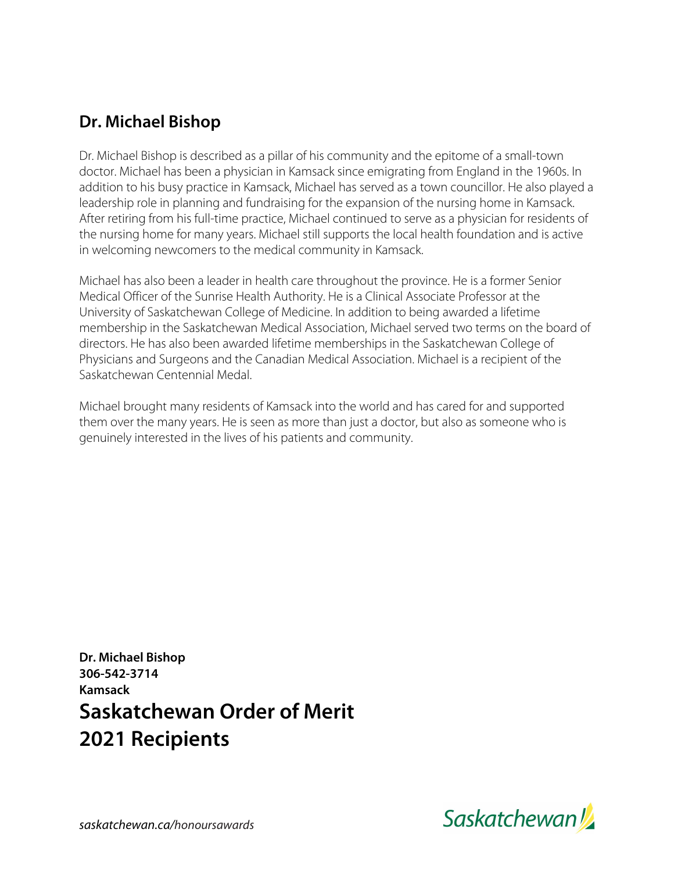### **Dr. Michael Bishop**

Dr. Michael Bishop is described as a pillar of his community and the epitome of a small-town doctor. Michael has been a physician in Kamsack since emigrating from England in the 1960s. In addition to his busy practice in Kamsack, Michael has served as a town councillor. He also played a leadership role in planning and fundraising for the expansion of the nursing home in Kamsack. After retiring from his full-time practice, Michael continued to serve as a physician for residents of the nursing home for many years. Michael still supports the local health foundation and is active in welcoming newcomers to the medical community in Kamsack.

Michael has also been a leader in health care throughout the province. He is a former Senior Medical Officer of the Sunrise Health Authority. He is a Clinical Associate Professor at the University of Saskatchewan College of Medicine. In addition to being awarded a lifetime membership in the Saskatchewan Medical Association, Michael served two terms on the board of directors. He has also been awarded lifetime memberships in the Saskatchewan College of Physicians and Surgeons and the Canadian Medical Association. Michael is a recipient of the Saskatchewan Centennial Medal.

Michael brought many residents of Kamsack into the world and has cared for and supported them over the many years. He is seen as more than just a doctor, but also as someone who is genuinely interested in the lives of his patients and community.

**Dr. Michael Bishop 306-542-3714 Kamsack Saskatchewan Order of Merit 2021 Recipients**

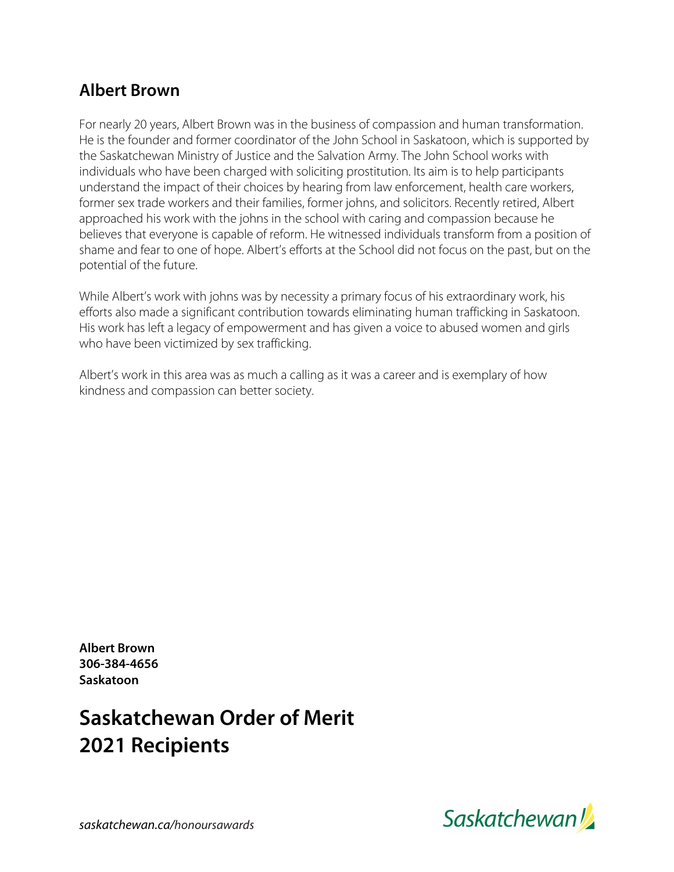#### **Albert Brown**

For nearly 20 years, Albert Brown was in the business of compassion and human transformation. He is the founder and former coordinator of the John School in Saskatoon, which is supported by the Saskatchewan Ministry of Justice and the Salvation Army. The John School works with individuals who have been charged with soliciting prostitution. Its aim is to help participants understand the impact of their choices by hearing from law enforcement, health care workers, former sex trade workers and their families, former johns, and solicitors. Recently retired, Albert approached his work with the johns in the school with caring and compassion because he believes that everyone is capable of reform. He witnessed individuals transform from a position of shame and fear to one of hope. Albert's efforts at the School did not focus on the past, but on the potential of the future.

While Albert's work with johns was by necessity a primary focus of his extraordinary work, his efforts also made a significant contribution towards eliminating human trafficking in Saskatoon. His work has left a legacy of empowerment and has given a voice to abused women and girls who have been victimized by sex trafficking.

Albert's work in this area was as much a calling as it was a career and is exemplary of how kindness and compassion can better society.

**Albert Brown 306-384-4656 Saskatoon**

## **Saskatchewan Order of Merit 2021 Recipients**

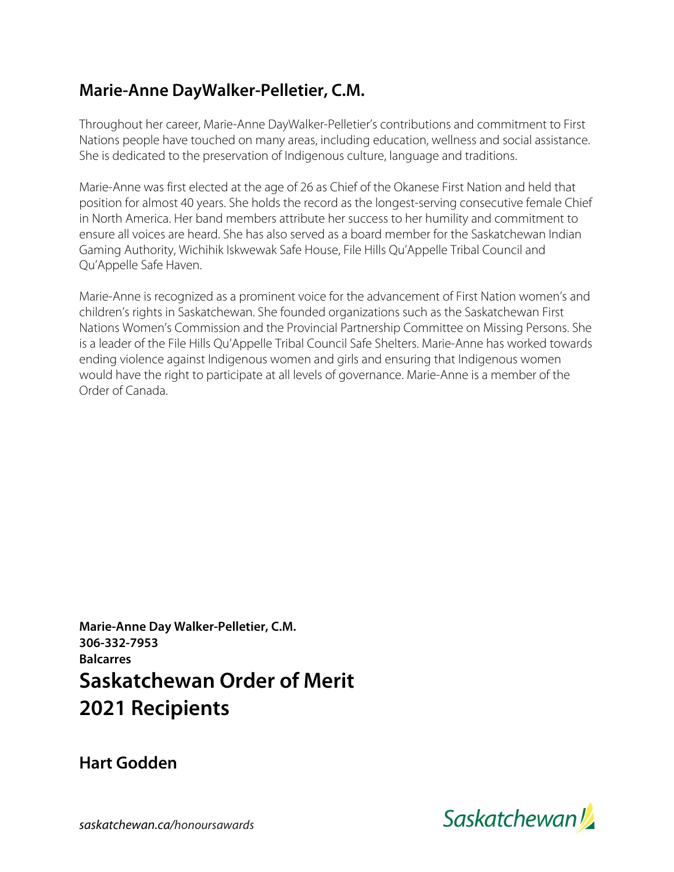#### **Marie-Anne DayWalker-Pelletier, C.M.**

Throughout her career, Marie-Anne DayWalker-Pelletier's contributions and commitment to First Nations people have touched on many areas, including education, wellness and social assistance. She is dedicated to the preservation of Indigenous culture, language and traditions.

Marie-Anne was first elected at the age of 26 as Chief of the Okanese First Nation and held that position for almost 40 years. She holds the record as the longest-serving consecutive female Chief in North America. Her band members attribute her success to her humility and commitment to ensure all voices are heard. She has also served as a board member for the Saskatchewan Indian Gaming Authority, Wichihik Iskwewak Safe House, File Hills Qu'Appelle Tribal Council and Qu'Appelle Safe Haven.

Marie-Anne is recognized as a prominent voice for the advancement of First Nation women's and children's rights in Saskatchewan. She founded organizations such as the Saskatchewan First Nations Women's Commission and the Provincial Partnership Committee on Missing Persons. She is a leader of the File Hills Qu'Appelle Tribal Council Safe Shelters. Marie-Anne has worked towards ending violence against Indigenous women and girls and ensuring that Indigenous women would have the right to participate at all levels of governance. Marie-Anne is a member of the Order of Canada.

**Marie-Anne Day Walker-Pelletier, C.M. 306-332-7953 Balcarres Saskatchewan Order of Merit 2021 Recipients**

**Hart Godden**



*saskatchewan.ca/honoursawards*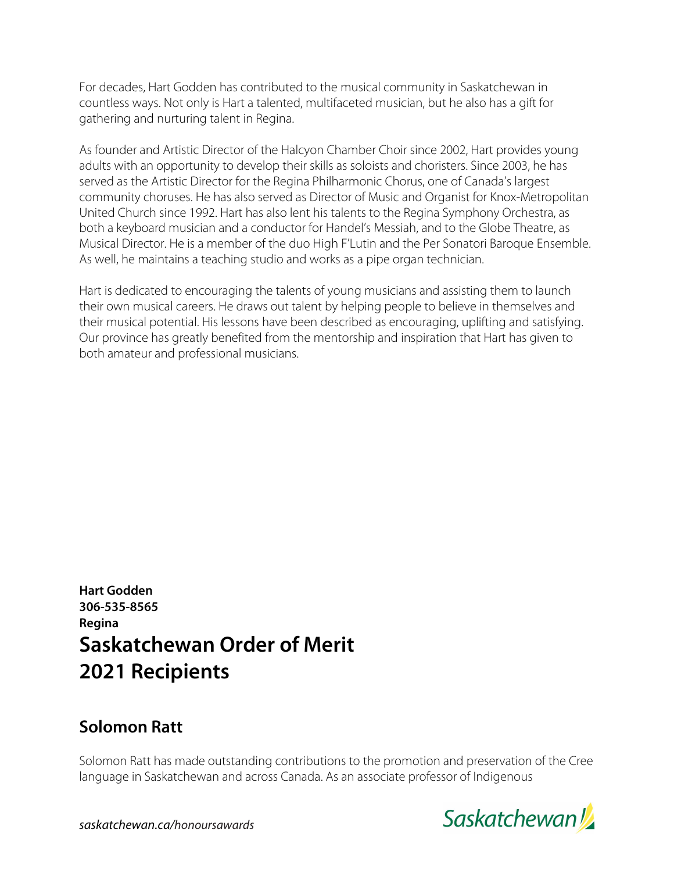For decades, Hart Godden has contributed to the musical community in Saskatchewan in countless ways. Not only is Hart a talented, multifaceted musician, but he also has a gift for gathering and nurturing talent in Regina.

As founder and Artistic Director of the Halcyon Chamber Choir since 2002, Hart provides young adults with an opportunity to develop their skills as soloists and choristers. Since 2003, he has served as the Artistic Director for the Regina Philharmonic Chorus, one of Canada's largest community choruses. He has also served as Director of Music and Organist for Knox-Metropolitan United Church since 1992. Hart has also lent his talents to the Regina Symphony Orchestra, as both a keyboard musician and a conductor for Handel's Messiah, and to the Globe Theatre, as Musical Director. He is a member of the duo High F'Lutin and the Per Sonatori Baroque Ensemble. As well, he maintains a teaching studio and works as a pipe organ technician.

Hart is dedicated to encouraging the talents of young musicians and assisting them to launch their own musical careers. He draws out talent by helping people to believe in themselves and their musical potential. His lessons have been described as encouraging, uplifting and satisfying. Our province has greatly benefited from the mentorship and inspiration that Hart has given to both amateur and professional musicians.

**Hart Godden 306-535-8565 Regina Saskatchewan Order of Merit 2021 Recipients**

#### **Solomon Ratt**

Solomon Ratt has made outstanding contributions to the promotion and preservation of the Cree language in Saskatchewan and across Canada. As an associate professor of Indigenous



*saskatchewan.ca/honoursawards*